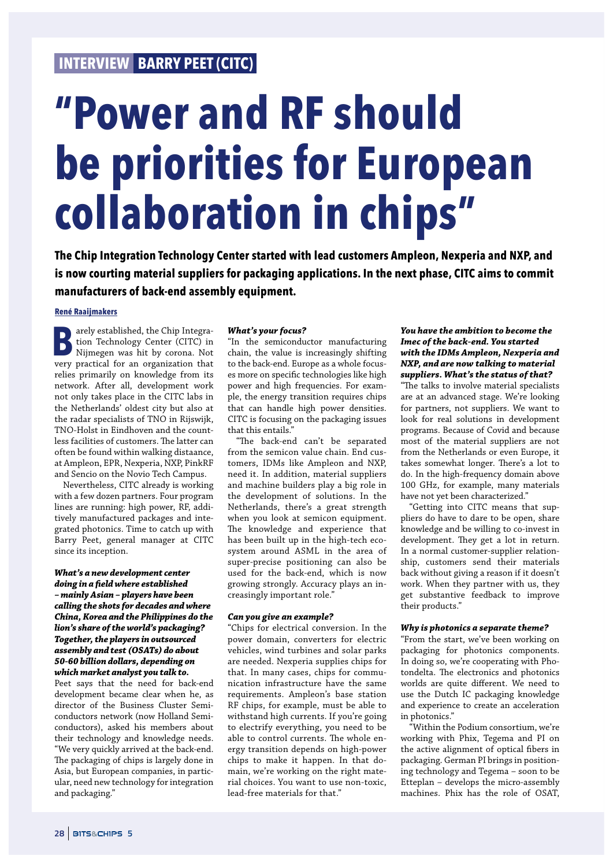# **INTERVIEW BARRY PEET (CITC)**

# **"Power and RF should be priorities for European collaboration in chips"**

**The Chip Integration Technology Center started with lead customers Ampleon, Nexperia and NXP, and is now courting material suppliers for packaging applications. In the next phase, CITC aims to commit manufacturers of back-end assembly equipment.**

## **René Raaijmakers**

**B**arely established, the Chip Integration Technology Center (CITC) in Nijmegen was hit by corona. Not very practical for an organization that tion Technology Center (CITC) in Nijmegen was hit by corona. Not very practical for an organization that relies primarily on knowledge from its network. After all, development work not only takes place in the CITC labs in the Netherlands' oldest city but also at the radar specialists of TNO in Rijswijk, TNO-Holst in Eindhoven and the countless facilities of customers. The latter can often be found within walking distaance, at Ampleon, EPR, Nexperia, NXP, PinkRF and Sencio on the Novio Tech Campus.

Nevertheless, CITC already is working with a few dozen partners. Four program lines are running: high power, RF, additively manufactured packages and integrated photonics. Time to catch up with Barry Peet, general manager at CITC since its inception.

# *What's a new development center*

*doing in a* **!***eld where established – mainly Asian – players have been calling the shots for decades and where China, Korea and the Philippines do the lion's share of the world's packaging? Together, the players in outsourced assembly and test (OSATs) do about 50-60 billion dollars, depending on which market analyst you talk to.*

Peet says that the need for back-end development became clear when he, as director of the Business Cluster Semiconductors network (now Holland Semiconductors), asked his members about their technology and knowledge needs. "We very quickly arrived at the back-end. The packaging of chips is largely done in Asia, but European companies, in particular, need new technology for integration and packaging."

#### *What's your focus?*

"In the semiconductor manufacturing chain, the value is increasingly shifting to the back-end. Europe as a whole focuses more on specific technologies like high power and high frequencies. For example, the energy transition requires chips that can handle high power densities. CITC is focusing on the packaging issues that this entails."

"The back-end can't be separated from the semicon value chain. End customers, IDMs like Ampleon and NXP, need it. In addition, material suppliers and machine builders play a big role in the development of solutions. In the Netherlands, there's a great strength when you look at semicon equipment. The knowledge and experience that has been built up in the high-tech ecosystem around ASML in the area of super-precise positioning can also be used for the back-end, which is now growing strongly. Accuracy plays an increasingly important role."

#### *Can you give an example?*

"Chips for electrical conversion. In the power domain, converters for electric vehicles, wind turbines and solar parks are needed. Nexperia supplies chips for that. In many cases, chips for communication infrastructure have the same requirements. Ampleon's base station RF chips, for example, must be able to withstand high currents. If you're going to electrify everything, you need to be able to control currents. The whole energy transition depends on high-power chips to make it happen. In that domain, we're working on the right material choices. You want to use non-toxic, lead-free materials for that."

# *You have the ambition to become the Imec of the back-end. You started with the IDMs Ampleon, Nexperia and NXP, and are now talking to material suppliers. What's the status of that?*

"The talks to involve material specialists are at an advanced stage. We're looking for partners, not suppliers. We want to look for real solutions in development programs. Because of Covid and because most of the material suppliers are not from the Netherlands or even Europe, it takes somewhat longer. There's a lot to do. In the high-frequency domain above 100 GHz, for example, many materials have not yet been characterized."

"Getting into CITC means that suppliers do have to dare to be open, share knowledge and be willing to co-invest in development. They get a lot in return. In a normal customer-supplier relationship, customers send their materials back without giving a reason if it doesn't work. When they partner with us, they get substantive feedback to improve their products."

#### *Why is photonics a separate theme?*

"From the start, we've been working on packaging for photonics components. In doing so, we're cooperating with Photondelta. The electronics and photonics worlds are quite different. We need to use the Dutch IC packaging knowledge and experience to create an acceleration in photonics."

"Within the Podium consortium, we're working with Phix, Tegema and PI on the active alignment of optical fibers in packaging. German PI brings in positioning technology and Tegema – soon to be Etteplan – develops the micro-assembly machines. Phix has the role of OSAT,